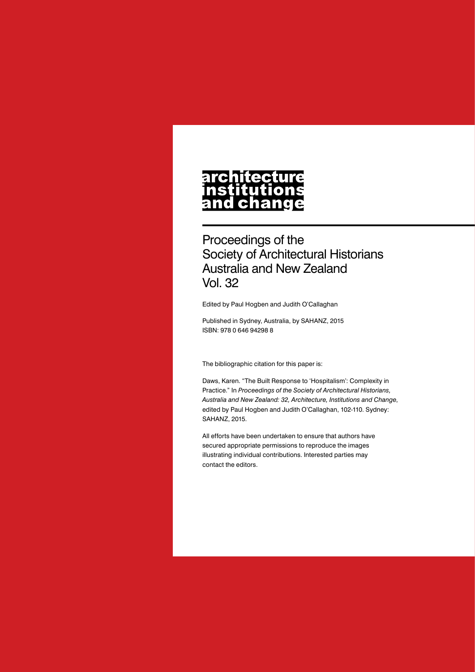# architecture nstitutions<br>and change

Proceedings of the Society of Architectural Historians Australia and New Zealand Vol. 32

Edited by Paul Hogben and Judith O'Callaghan

Published in Sydney, Australia, by SAHANZ, 2015 ISBN: 978 0 646 94298 8

The bibliographic citation for this paper is:

Daws, Karen. "The Built Response to 'Hospitalism': Complexity in Practice." In *Proceedings of the Society of Architectural Historians, Australia and New Zealand: 32, Architecture, Institutions and Change*, edited by Paul Hogben and Judith O'Callaghan, 102-110. Sydney: SAHANZ, 2015.

All efforts have been undertaken to ensure that authors have secured appropriate permissions to reproduce the images illustrating individual contributions. Interested parties may contact the editors.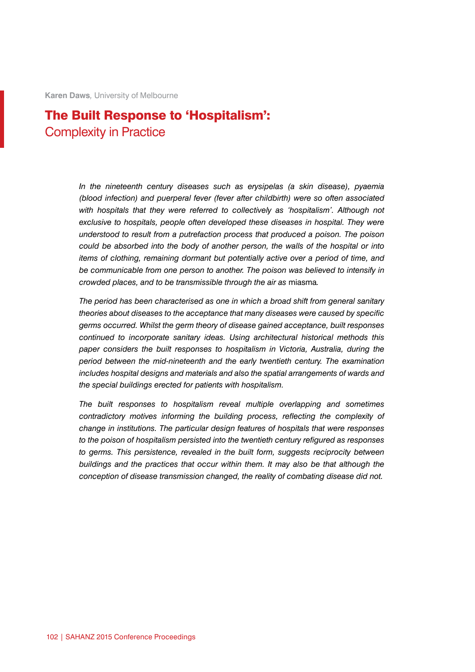**Karen Daws***,* University of Melbourne

## The Built Response to 'Hospitalism': Complexity in Practice

*In the nineteenth century diseases such as erysipelas (a skin disease), pyaemia (blood infection) and puerperal fever (fever after childbirth) were so often associated with hospitals that they were referred to collectively as 'hospitalism'. Although not exclusive to hospitals, people often developed these diseases in hospital. They were understood to result from a putrefaction process that produced a poison. The poison could be absorbed into the body of another person, the walls of the hospital or into items of clothing, remaining dormant but potentially active over a period of time, and be communicable from one person to another. The poison was believed to intensify in crowded places, and to be transmissible through the air as* miasma*.*

*The period has been characterised as one in which a broad shift from general sanitary theories about diseases to the acceptance that many diseases were caused by specific germs occurred. Whilst the germ theory of disease gained acceptance, built responses continued to incorporate sanitary ideas. Using architectural historical methods this paper considers the built responses to hospitalism in Victoria, Australia, during the period between the mid-nineteenth and the early twentieth century. The examination includes hospital designs and materials and also the spatial arrangements of wards and the special buildings erected for patients with hospitalism.*

*The built responses to hospitalism reveal multiple overlapping and sometimes contradictory motives informing the building process, reflecting the complexity of change in institutions. The particular design features of hospitals that were responses to the poison of hospitalism persisted into the twentieth century refigured as responses to germs. This persistence, revealed in the built form, suggests reciprocity between buildings and the practices that occur within them. It may also be that although the conception of disease transmission changed, the reality of combating disease did not.*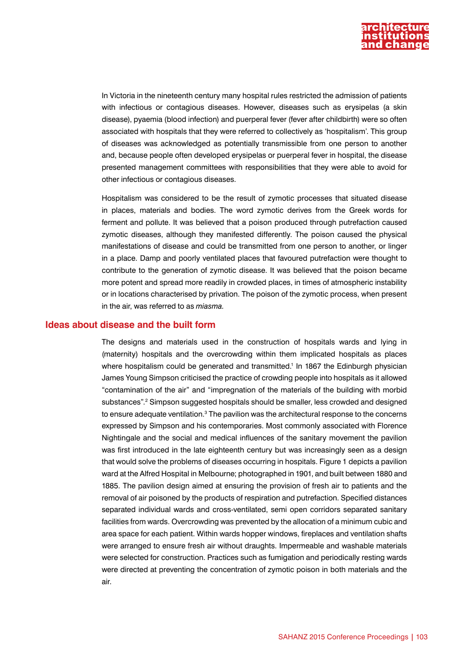

In Victoria in the nineteenth century many hospital rules restricted the admission of patients with infectious or contagious diseases. However, diseases such as erysipelas (a skin disease), pyaemia (blood infection) and puerperal fever (fever after childbirth) were so often associated with hospitals that they were referred to collectively as 'hospitalism'. This group of diseases was acknowledged as potentially transmissible from one person to another and, because people often developed erysipelas or puerperal fever in hospital, the disease presented management committees with responsibilities that they were able to avoid for other infectious or contagious diseases.

Hospitalism was considered to be the result of zymotic processes that situated disease in places, materials and bodies. The word zymotic derives from the Greek words for ferment and pollute. It was believed that a poison produced through putrefaction caused zymotic diseases, although they manifested differently. The poison caused the physical manifestations of disease and could be transmitted from one person to another, or linger in a place. Damp and poorly ventilated places that favoured putrefaction were thought to contribute to the generation of zymotic disease. It was believed that the poison became more potent and spread more readily in crowded places, in times of atmospheric instability or in locations characterised by privation. The poison of the zymotic process, when present in the air, was referred to as *miasma.*

#### **Ideas about disease and the built form**

The designs and materials used in the construction of hospitals wards and lying in (maternity) hospitals and the overcrowding within them implicated hospitals as places where hospitalism could be generated and transmitted.<sup>1</sup> In 1867 the Edinburgh physician James Young Simpson criticised the practice of crowding people into hospitals as it allowed "contamination of the air" and "impregnation of the materials of the building with morbid substances".2 Simpson suggested hospitals should be smaller, less crowded and designed to ensure adequate ventilation. $^3$  The pavilion was the architectural response to the concerns expressed by Simpson and his contemporaries. Most commonly associated with Florence Nightingale and the social and medical influences of the sanitary movement the pavilion was first introduced in the late eighteenth century but was increasingly seen as a design that would solve the problems of diseases occurring in hospitals. Figure 1 depicts a pavilion ward at the Alfred Hospital in Melbourne; photographed in 1901, and built between 1880 and 1885. The pavilion design aimed at ensuring the provision of fresh air to patients and the removal of air poisoned by the products of respiration and putrefaction. Specified distances separated individual wards and cross-ventilated, semi open corridors separated sanitary facilities from wards. Overcrowding was prevented by the allocation of a minimum cubic and area space for each patient. Within wards hopper windows, fireplaces and ventilation shafts were arranged to ensure fresh air without draughts. Impermeable and washable materials were selected for construction. Practices such as fumigation and periodically resting wards were directed at preventing the concentration of zymotic poison in both materials and the air.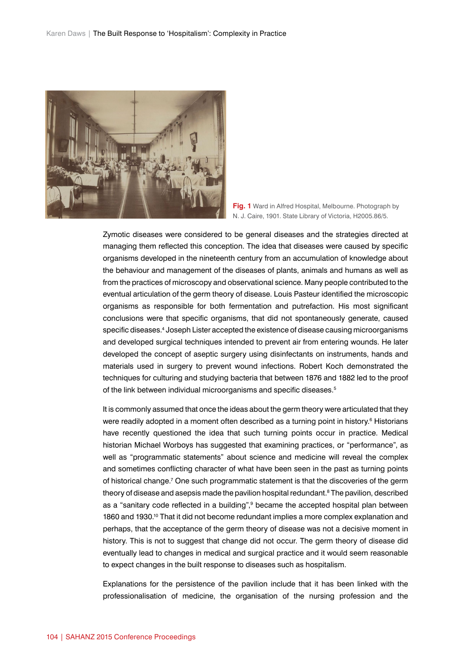

**Fig. 1** Ward in Alfred Hospital, Melbourne. Photograph by N. J. Caire, 1901. State Library of Victoria, H2005.86/5.

Zymotic diseases were considered to be general diseases and the strategies directed at managing them reflected this conception. The idea that diseases were caused by specific organisms developed in the nineteenth century from an accumulation of knowledge about the behaviour and management of the diseases of plants, animals and humans as well as from the practices of microscopy and observational science. Many people contributed to the eventual articulation of the germ theory of disease. Louis Pasteur identified the microscopic organisms as responsible for both fermentation and putrefaction. His most significant conclusions were that specific organisms, that did not spontaneously generate, caused specific diseases.4 Joseph Lister accepted the existence of disease causing microorganisms and developed surgical techniques intended to prevent air from entering wounds. He later developed the concept of aseptic surgery using disinfectants on instruments, hands and materials used in surgery to prevent wound infections. Robert Koch demonstrated the techniques for culturing and studying bacteria that between 1876 and 1882 led to the proof of the link between individual microorganisms and specific diseases.<sup>5</sup>

It is commonly assumed that once the ideas about the germ theory were articulated that they were readily adopted in a moment often described as a turning point in history.<sup>6</sup> Historians have recently questioned the idea that such turning points occur in practice. Medical historian Michael Worboys has suggested that examining practices, or "performance", as well as "programmatic statements" about science and medicine will reveal the complex and sometimes conflicting character of what have been seen in the past as turning points of historical change.<sup>7</sup> One such programmatic statement is that the discoveries of the germ theory of disease and asepsis made the pavilion hospital redundant. ${}^8$  The pavilion, described as a "sanitary code reflected in a building",<sup>9</sup> became the accepted hospital plan between 1860 and 1930.10 That it did not become redundant implies a more complex explanation and perhaps, that the acceptance of the germ theory of disease was not a decisive moment in history. This is not to suggest that change did not occur. The germ theory of disease did eventually lead to changes in medical and surgical practice and it would seem reasonable to expect changes in the built response to diseases such as hospitalism.

Explanations for the persistence of the pavilion include that it has been linked with the professionalisation of medicine, the organisation of the nursing profession and the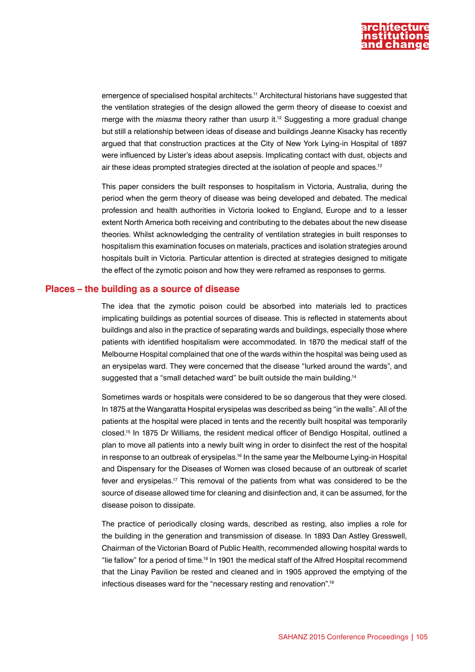

emergence of specialised hospital architects.11 Architectural historians have suggested that the ventilation strategies of the design allowed the germ theory of disease to coexist and merge with the *miasma* theory rather than usurp it.12 Suggesting a more gradual change but still a relationship between ideas of disease and buildings Jeanne Kisacky has recently argued that that construction practices at the City of New York Lying-in Hospital of 1897 were influenced by Lister's ideas about asepsis. Implicating contact with dust, objects and air these ideas prompted strategies directed at the isolation of people and spaces.13

This paper considers the built responses to hospitalism in Victoria, Australia, during the period when the germ theory of disease was being developed and debated. The medical profession and health authorities in Victoria looked to England, Europe and to a lesser extent North America both receiving and contributing to the debates about the new disease theories. Whilst acknowledging the centrality of ventilation strategies in built responses to hospitalism this examination focuses on materials, practices and isolation strategies around hospitals built in Victoria. Particular attention is directed at strategies designed to mitigate the effect of the zymotic poison and how they were reframed as responses to germs.

#### **Places – the building as a source of disease**

The idea that the zymotic poison could be absorbed into materials led to practices implicating buildings as potential sources of disease. This is reflected in statements about buildings and also in the practice of separating wards and buildings, especially those where patients with identified hospitalism were accommodated. In 1870 the medical staff of the Melbourne Hospital complained that one of the wards within the hospital was being used as an erysipelas ward. They were concerned that the disease "lurked around the wards", and suggested that a "small detached ward" be built outside the main building.<sup>14</sup>

Sometimes wards or hospitals were considered to be so dangerous that they were closed. In 1875 at the Wangaratta Hospital erysipelas was described as being "in the walls". All of the patients at the hospital were placed in tents and the recently built hospital was temporarily closed.15 In 1875 Dr Williams, the resident medical officer of Bendigo Hospital, outlined a plan to move all patients into a newly built wing in order to disinfect the rest of the hospital in response to an outbreak of erysipelas.<sup>16</sup> In the same year the Melbourne Lying-in Hospital and Dispensary for the Diseases of Women was closed because of an outbreak of scarlet fever and erysipelas.17 This removal of the patients from what was considered to be the source of disease allowed time for cleaning and disinfection and, it can be assumed, for the disease poison to dissipate.

The practice of periodically closing wards, described as resting, also implies a role for the building in the generation and transmission of disease. In 1893 Dan Astley Gresswell, Chairman of the Victorian Board of Public Health, recommended allowing hospital wards to "lie fallow" for a period of time.18 In 1901 the medical staff of the Alfred Hospital recommend that the Linay Pavilion be rested and cleaned and in 1905 approved the emptying of the infectious diseases ward for the "necessary resting and renovation".19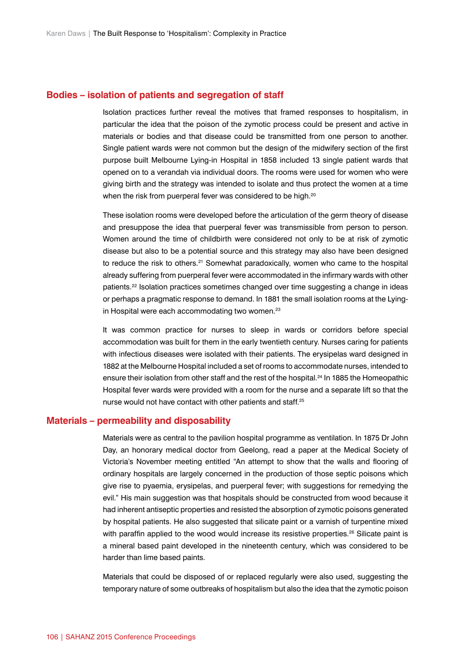#### **Bodies – isolation of patients and segregation of staff**

Isolation practices further reveal the motives that framed responses to hospitalism, in particular the idea that the poison of the zymotic process could be present and active in materials or bodies and that disease could be transmitted from one person to another. Single patient wards were not common but the design of the midwifery section of the first purpose built Melbourne Lying-in Hospital in 1858 included 13 single patient wards that opened on to a verandah via individual doors. The rooms were used for women who were giving birth and the strategy was intended to isolate and thus protect the women at a time when the risk from puerperal fever was considered to be high.<sup>20</sup>

These isolation rooms were developed before the articulation of the germ theory of disease and presuppose the idea that puerperal fever was transmissible from person to person. Women around the time of childbirth were considered not only to be at risk of zymotic disease but also to be a potential source and this strategy may also have been designed to reduce the risk to others.<sup>21</sup> Somewhat paradoxically, women who came to the hospital already suffering from puerperal fever were accommodated in the infirmary wards with other patients.22 Isolation practices sometimes changed over time suggesting a change in ideas or perhaps a pragmatic response to demand. In 1881 the small isolation rooms at the Lyingin Hospital were each accommodating two women.<sup>23</sup>

It was common practice for nurses to sleep in wards or corridors before special accommodation was built for them in the early twentieth century. Nurses caring for patients with infectious diseases were isolated with their patients. The erysipelas ward designed in 1882 at the Melbourne Hospital included a set of rooms to accommodate nurses, intended to ensure their isolation from other staff and the rest of the hospital.<sup>24</sup> In 1885 the Homeopathic Hospital fever wards were provided with a room for the nurse and a separate lift so that the nurse would not have contact with other patients and staff.<sup>25</sup>

#### **Materials – permeability and disposability**

Materials were as central to the pavilion hospital programme as ventilation. In 1875 Dr John Day, an honorary medical doctor from Geelong, read a paper at the Medical Society of Victoria's November meeting entitled "An attempt to show that the walls and flooring of ordinary hospitals are largely concerned in the production of those septic poisons which give rise to pyaemia, erysipelas, and puerperal fever; with suggestions for remedying the evil." His main suggestion was that hospitals should be constructed from wood because it had inherent antiseptic properties and resisted the absorption of zymotic poisons generated by hospital patients. He also suggested that silicate paint or a varnish of turpentine mixed with paraffin applied to the wood would increase its resistive properties.<sup>26</sup> Silicate paint is a mineral based paint developed in the nineteenth century, which was considered to be harder than lime based paints.

Materials that could be disposed of or replaced regularly were also used, suggesting the temporary nature of some outbreaks of hospitalism but also the idea that the zymotic poison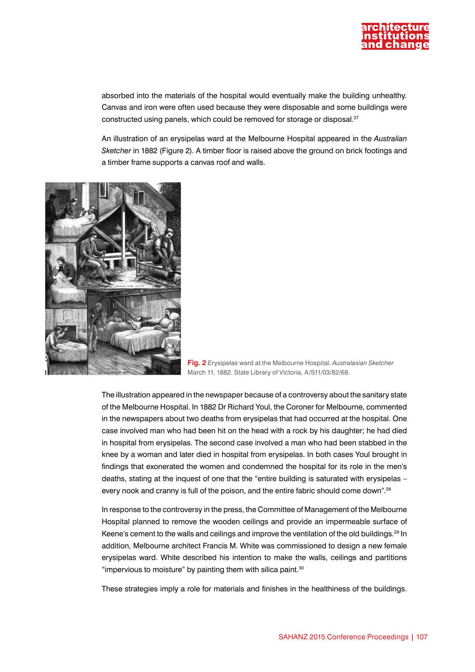

absorbed into the materials of the hospital would eventually make the building unhealthy. Canvas and iron were often used because they were disposable and some buildings were constructed using panels, which could be removed for storage or disposal.<sup>27</sup>

An illustration of an erysipelas ward at the Melbourne Hospital appeared in the *Australian Sketcher* in 1882 (Figure 2). A timber floor is raised above the ground on brick footings and a timber frame supports a canvas roof and walls.



**Fig. 2** Erysipelas ward at the Melbourne Hospital. *Australasian Sketcher* March 11, 1882. State Library of Victoria, A/S11/03/82/68.

The illustration appeared in the newspaper because of a controversy about the sanitary state of the Melbourne Hospital. In 1882 Dr Richard Youl, the Coroner for Melbourne, commented in the newspapers about two deaths from erysipelas that had occurred at the hospital. One case involved man who had been hit on the head with a rock by his daughter; he had died in hospital from erysipelas. The second case involved a man who had been stabbed in the knee by a woman and later died in hospital from erysipelas. In both cases Youl brought in findings that exonerated the women and condemned the hospital for its role in the men's deaths, stating at the inquest of one that the "entire building is saturated with erysipelas – every nook and cranny is full of the poison, and the entire fabric should come down".<sup>28</sup>

In response to the controversy in the press, the Committee of Management of the Melbourne Hospital planned to remove the wooden ceilings and provide an impermeable surface of Keene's cement to the walls and ceilings and improve the ventilation of the old buildings.<sup>29</sup> In addition, Melbourne architect Francis M. White was commissioned to design a new female erysipelas ward. White described his intention to make the walls, ceilings and partitions "impervious to moisture" by painting them with silica paint. $30$ 

These strategies imply a role for materials and finishes in the healthiness of the buildings.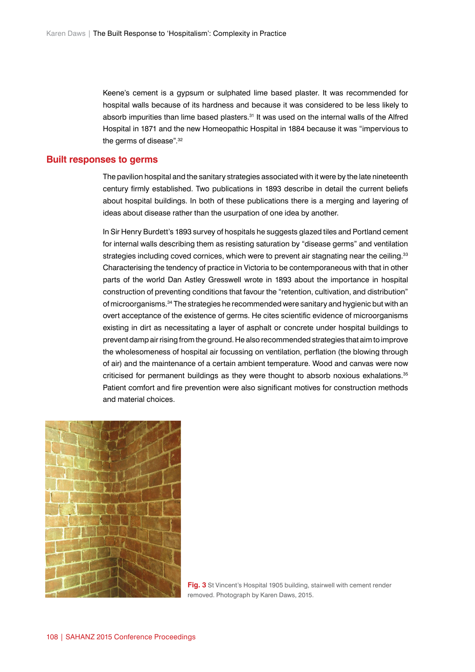Keene's cement is a gypsum or sulphated lime based plaster. It was recommended for hospital walls because of its hardness and because it was considered to be less likely to absorb impurities than lime based plasters.<sup>31</sup> It was used on the internal walls of the Alfred Hospital in 1871 and the new Homeopathic Hospital in 1884 because it was "impervious to the germs of disease".<sup>32</sup>

#### **Built responses to germs**

The pavilion hospital and the sanitary strategies associated with it were by the late nineteenth century firmly established. Two publications in 1893 describe in detail the current beliefs about hospital buildings. In both of these publications there is a merging and layering of ideas about disease rather than the usurpation of one idea by another.

In Sir Henry Burdett's 1893 survey of hospitals he suggests glazed tiles and Portland cement for internal walls describing them as resisting saturation by "disease germs" and ventilation strategies including coved cornices, which were to prevent air stagnating near the ceiling.<sup>33</sup> Characterising the tendency of practice in Victoria to be contemporaneous with that in other parts of the world Dan Astley Gresswell wrote in 1893 about the importance in hospital construction of preventing conditions that favour the "retention, cultivation, and distribution" of microorganisms.34 The strategies he recommended were sanitary and hygienic but with an overt acceptance of the existence of germs. He cites scientific evidence of microorganisms existing in dirt as necessitating a layer of asphalt or concrete under hospital buildings to prevent damp air rising from the ground. He also recommended strategies that aim to improve the wholesomeness of hospital air focussing on ventilation, perflation (the blowing through of air) and the maintenance of a certain ambient temperature. Wood and canvas were now criticised for permanent buildings as they were thought to absorb noxious exhalations.35 Patient comfort and fire prevention were also significant motives for construction methods and material choices.



**Fig. 3** St Vincent's Hospital 1905 building, stairwell with cement render removed. Photograph by Karen Daws, 2015.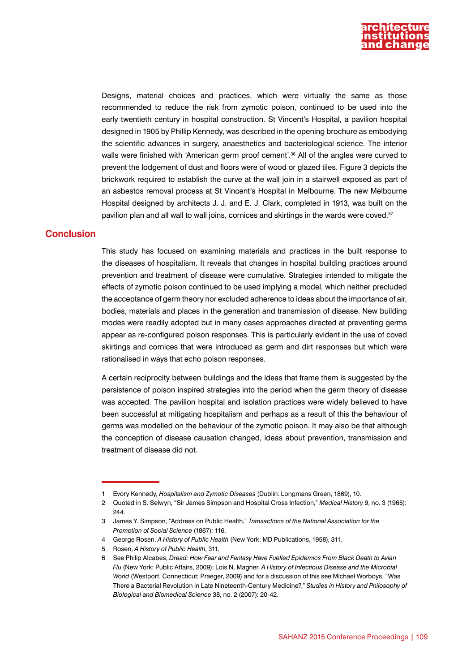

Designs, material choices and practices, which were virtually the same as those recommended to reduce the risk from zymotic poison, continued to be used into the early twentieth century in hospital construction. St Vincent's Hospital, a pavilion hospital designed in 1905 by Phillip Kennedy, was described in the opening brochure as embodying the scientific advances in surgery, anaesthetics and bacteriological science. The interior walls were finished with 'American germ proof cement'.<sup>36</sup> All of the angles were curved to prevent the lodgement of dust and floors were of wood or glazed tiles. Figure 3 depicts the brickwork required to establish the curve at the wall join in a stairwell exposed as part of an asbestos removal process at St Vincent's Hospital in Melbourne. The new Melbourne Hospital designed by architects J. J. and E. J. Clark, completed in 1913, was built on the pavilion plan and all wall to wall joins, cornices and skirtings in the wards were coved.<sup>37</sup>

### **Conclusion**

This study has focused on examining materials and practices in the built response to the diseases of hospitalism. It reveals that changes in hospital building practices around prevention and treatment of disease were cumulative. Strategies intended to mitigate the effects of zymotic poison continued to be used implying a model, which neither precluded the acceptance of germ theory nor excluded adherence to ideas about the importance of air, bodies, materials and places in the generation and transmission of disease. New building modes were readily adopted but in many cases approaches directed at preventing germs appear as re-configured poison responses. This is particularly evident in the use of coved skirtings and cornices that were introduced as germ and dirt responses but which were rationalised in ways that echo poison responses.

A certain reciprocity between buildings and the ideas that frame them is suggested by the persistence of poison inspired strategies into the period when the germ theory of disease was accepted. The pavilion hospital and isolation practices were widely believed to have been successful at mitigating hospitalism and perhaps as a result of this the behaviour of germs was modelled on the behaviour of the zymotic poison. It may also be that although the conception of disease causation changed, ideas about prevention, transmission and treatment of disease did not.

<sup>1</sup> Evory Kennedy, *Hospitalism and Zymotic Diseases* (Dublin: Longmans Green, 1869), 10.

<sup>2</sup> Quoted in S. Selwyn, "Sir James Simpson and Hospital Cross Infection," *Medical History* 9, no. 3 (1965): 244.

<sup>3</sup> James Y. Simpson, "Address on Public Health," *Transactions of the National Association for the Promotion of Social Science* (1867): 116.

<sup>4</sup> George Rosen, *A History of Public Health* (New York: MD Publications, 1958), 311.

<sup>5</sup> Rosen, *A History of Public Health*, 311.

<sup>6</sup> See Philip Alcabes, *Dread: How Fear and Fantasy Have Fuelled Epidemics From Black Death to Avian Flu* (New York: Public Affairs, 2009); Lois N. Magner, *A History of Infectious Disease and the Microbial World* (Westport, Connecticut: Praeger, 2009) and for a discussion of this see Michael Worboys, "Was There a Bacterial Revolution in Late Nineteenth-Century Medicine?," *Studies in History and Philosophy of Biological and Biomedical Science* 38, no. 2 (2007): 20-42.